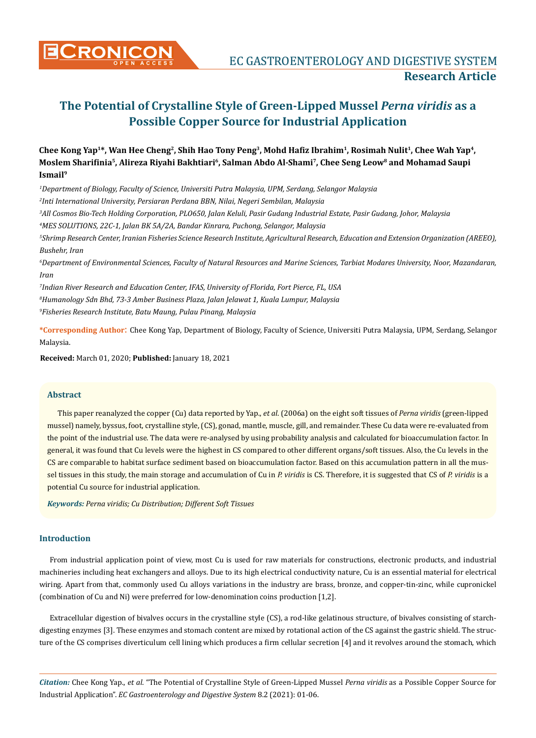

**CRONICON** EC GASTROENTEROLOGY AND DIGESTIVE SYSTEM **Research Article**

# **The Potential of Crystalline Style of Green-Lipped Mussel** *Perna viridis* **as a Possible Copper Source for Industrial Application**

# **Chee Kong Yap1\*, Wan Hee Cheng2, Shih Hao Tony Peng3, Mohd Hafiz Ibrahim<sup>1</sup>, Rosimah Nulit1, Chee Wah Yap4, Moslem Sharifinia<sup>5</sup>, Alireza Riyahi Bakhtiari<sup>6</sup>, Salman Abdo Al-Shami7, Chee Seng Leow8 and Mohamad Saupi Ismail<sup>9</sup>**

 *Department of Biology, Faculty of Science, Universiti Putra Malaysia, UPM, Serdang, Selangor Malaysia Inti International University, Persiaran Perdana BBN, Nilai, Negeri Sembilan, Malaysia All Cosmos Bio-Tech Holding Corporation, PLO650, Jalan Keluli, Pasir Gudang Industrial Estate, Pasir Gudang, Johor, Malaysia MES SOLUTIONS, 22C-1, Jalan BK 5A/2A, Bandar Kinrara, Puchong, Selangor, Malaysia*

*5 Shrimp Research Center, Iranian Fisheries Science Research Institute, Agricultural Research, Education and Extension Organization (AREEO), Bushehr, Iran*

*6 Department of Environmental Sciences, Faculty of Natural Resources and Marine Sciences, Tarbiat Modares University, Noor, Mazandaran, Iran*

*7 Indian River Research and Education Center, IFAS, University of Florida, Fort Pierce, FL, USA 8 Humanology Sdn Bhd, 73-3 Amber Business Plaza, Jalan Jelawat 1, Kuala Lumpur, Malaysia 9 Fisheries Research Institute, Batu Maung, Pulau Pinang, Malaysia*

**\*Corresponding Author**: Chee Kong Yap, Department of Biology, Faculty of Science, Universiti Putra Malaysia, UPM, Serdang, Selangor Malaysia.

**Received:** March 01, 2020; **Published:** January 18, 2021

# **Abstract**

This paper reanalyzed the copper (Cu) data reported by Yap., *et al*. (2006a) on the eight soft tissues of *Perna viridis* (green-lipped mussel) namely, byssus, foot, crystalline style, (CS), gonad, mantle, muscle, gill, and remainder. These Cu data were re-evaluated from the point of the industrial use. The data were re-analysed by using probability analysis and calculated for bioaccumulation factor. In general, it was found that Cu levels were the highest in CS compared to other different organs/soft tissues. Also, the Cu levels in the CS are comparable to habitat surface sediment based on bioaccumulation factor. Based on this accumulation pattern in all the mussel tissues in this study, the main storage and accumulation of Cu in *P. viridis* is CS. Therefore, it is suggested that CS of *P. viridis* is a potential Cu source for industrial application.

*Keywords: Perna viridis; Cu Distribution; Different Soft Tissues*

# **Introduction**

From industrial application point of view, most Cu is used for raw materials for constructions, electronic products, and industrial machineries including heat exchangers and alloys. Due to its high electrical conductivity nature, Cu is an essential material for electrical wiring. Apart from that, commonly used Cu alloys variations in the industry are brass, bronze, and copper-tin-zinc, while cupronickel (combination of Cu and Ni) were preferred for low-denomination coins production [1,2].

Extracellular digestion of bivalves occurs in the crystalline style (CS), a rod-like gelatinous structure, of bivalves consisting of starchdigesting enzymes [3]. These enzymes and stomach content are mixed by rotational action of the CS against the gastric shield. The structure of the CS comprises diverticulum cell lining which produces a firm cellular secretion [4] and it revolves around the stomach, which

*Citation:* Chee Kong Yap., *et al*. "The Potential of Crystalline Style of Green-Lipped Mussel *Perna viridis* as a Possible Copper Source for Industrial Application". *EC Gastroenterology and Digestive System* 8.2 (2021): 01-06.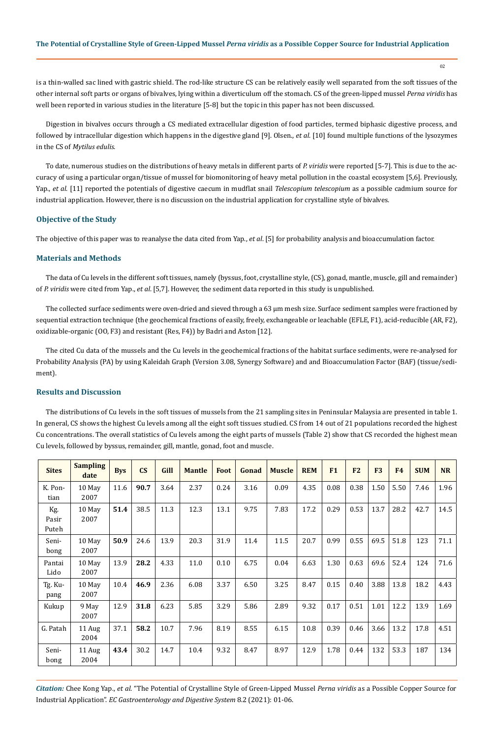is a thin-walled sac lined with gastric shield. The rod-like structure CS can be relatively easily well separated from the soft tissues of the other internal soft parts or organs of bivalves, lying within a diverticulum off the stomach. CS of the green-lipped mussel *Perna viridis* has well been reported in various studies in the literature [5-8] but the topic in this paper has not been discussed.

Digestion in bivalves occurs through a CS mediated extracellular digestion of food particles, termed biphasic digestive process, and followed by intracellular digestion which happens in the digestive gland [9]. Olsen., *et al*. [10] found multiple functions of the lysozymes in the CS of *Mytilus edulis*.

To date, numerous studies on the distributions of heavy metals in different parts of *P. viridis* were reported [5-7]. This is due to the accuracy of using a particular organ/tissue of mussel for biomonitoring of heavy metal pollution in the coastal ecosystem [5,6]. Previously, Yap., *et al*. [11] reported the potentials of digestive caecum in mudflat snail *Telescopium telescopium* as a possible cadmium source for industrial application. However, there is no discussion on the industrial application for crystalline style of bivalves.

#### **Objective of the Study**

The objective of this paper was to reanalyse the data cited from Yap., *et al*. [5] for probability analysis and bioaccumulation factor.

#### **Materials and Methods**

The data of Cu levels in the different soft tissues, namely (byssus, foot, crystalline style, (CS), gonad, mantle, muscle, gill and remainder) of *P. viridis* were cited from Yap., *et al*. [5,7]. However, the sediment data reported in this study is unpublished.

The collected surface sediments were oven-dried and sieved through a 63 µm mesh size. Surface sediment samples were fractioned by sequential extraction technique (the geochemical fractions of easily, freely, exchangeable or leachable (EFLE, F1), acid-reducible (AR, F2), oxidizable-organic (OO, F3) and resistant (Res, F4)) by Badri and Aston [12].

The cited Cu data of the mussels and the Cu levels in the geochemical fractions of the habitat surface sediments, were re-analysed for Probability Analysis (PA) by using Kaleidah Graph (Version 3.08, Synergy Software) and and Bioaccumulation Factor (BAF) (tissue/sediment).

## **Results and Discussion**

The distributions of Cu levels in the soft tissues of mussels from the 21 sampling sites in Peninsular Malaysia are presented in table 1. In general, CS shows the highest Cu levels among all the eight soft tissues studied. CS from 14 out of 21 populations recorded the highest Cu concentrations. The overall statistics of Cu levels among the eight parts of mussels (Table 2) show that CS recorded the highest mean Cu levels, followed by byssus, remainder, gill, mantle, gonad, foot and muscle.

| <b>Sites</b>          | <b>Sampling</b><br>date | <b>Bys</b> | $\mathbf{C}\mathbf{S}$ | Gill | <b>Mantle</b> | Foot | Gonad | <b>Muscle</b> | <b>REM</b> | F1   | F <sub>2</sub> | F <sub>3</sub> | <b>F4</b> | <b>SUM</b> | <b>NR</b> |
|-----------------------|-------------------------|------------|------------------------|------|---------------|------|-------|---------------|------------|------|----------------|----------------|-----------|------------|-----------|
| K. Pon-<br>tian       | 10 May<br>2007          | 11.6       | 90.7                   | 3.64 | 2.37          | 0.24 | 3.16  | 0.09          | 4.35       | 0.08 | 0.38           | 1.50           | 5.50      | 7.46       | 1.96      |
| Kg.<br>Pasir<br>Puteh | 10 May<br>2007          | 51.4       | 38.5                   | 11.3 | 12.3          | 13.1 | 9.75  | 7.83          | 17.2       | 0.29 | 0.53           | 13.7           | 28.2      | 42.7       | 14.5      |
| Seni-<br>bong         | 10 May<br>2007          | 50.9       | 24.6                   | 13.9 | 20.3          | 31.9 | 11.4  | 11.5          | 20.7       | 0.99 | 0.55           | 69.5           | 51.8      | 123        | 71.1      |
| Pantai<br>Lido        | 10 May<br>2007          | 13.9       | 28.2                   | 4.33 | 11.0          | 0.10 | 6.75  | 0.04          | 6.63       | 1.30 | 0.63           | 69.6           | 52.4      | 124        | 71.6      |
| Tg. Ku-<br>pang       | 10 May<br>2007          | 10.4       | 46.9                   | 2.36 | 6.08          | 3.37 | 6.50  | 3.25          | 8.47       | 0.15 | 0.40           | 3.88           | 13.8      | 18.2       | 4.43      |
| Kukup                 | 9 May<br>2007           | 12.9       | 31.8                   | 6.23 | 5.85          | 3.29 | 5.86  | 2.89          | 9.32       | 0.17 | 0.51           | 1.01           | 12.2      | 13.9       | 1.69      |
| G. Patah              | $11$ Aug<br>2004        | 37.1       | 58.2                   | 10.7 | 7.96          | 8.19 | 8.55  | 6.15          | 10.8       | 0.39 | 0.46           | 3.66           | 13.2      | 17.8       | 4.51      |
| Seni-<br>bong         | 11 Aug<br>2004          | 43.4       | 30.2                   | 14.7 | 10.4          | 9.32 | 8.47  | 8.97          | 12.9       | 1.78 | 0.44           | 132            | 53.3      | 187        | 134       |

*Citation:* Chee Kong Yap., *et al*. "The Potential of Crystalline Style of Green-Lipped Mussel *Perna viridis* as a Possible Copper Source for Industrial Application". *EC Gastroenterology and Digestive System* 8.2 (2021): 01-06.

02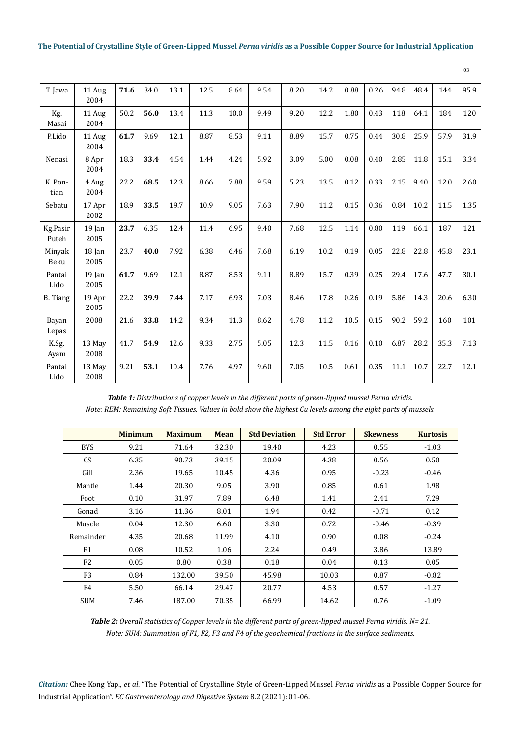#### **The Potential of Crystalline Style of Green-Lipped Mussel** *Perna viridis* **as a Possible Copper Source for Industrial Application**

| T. Jawa           | 11 Aug<br>2004   | 71.6 | 34.0 | 13.1 | 12.5 | 8.64 | 9.54 | 8.20 | 14.2 | 0.88 | 0.26 | 94.8 | 48.4 | 144  | 95.9 |
|-------------------|------------------|------|------|------|------|------|------|------|------|------|------|------|------|------|------|
| Kg.<br>Masai      | 11 Aug<br>2004   | 50.2 | 56.0 | 13.4 | 11.3 | 10.0 | 9.49 | 9.20 | 12.2 | 1.80 | 0.43 | 118  | 64.1 | 184  | 120  |
| P.Lido            | 11 Aug<br>2004   | 61.7 | 9.69 | 12.1 | 8.87 | 8.53 | 9.11 | 8.89 | 15.7 | 0.75 | 0.44 | 30.8 | 25.9 | 57.9 | 31.9 |
| Nenasi            | 8 Apr<br>2004    | 18.3 | 33.4 | 4.54 | 1.44 | 4.24 | 5.92 | 3.09 | 5.00 | 0.08 | 0.40 | 2.85 | 11.8 | 15.1 | 3.34 |
| K. Pon-<br>tian   | 4 Aug<br>2004    | 22.2 | 68.5 | 12.3 | 8.66 | 7.88 | 9.59 | 5.23 | 13.5 | 0.12 | 0.33 | 2.15 | 9.40 | 12.0 | 2.60 |
| Sebatu            | 17 Apr<br>2002   | 18.9 | 33.5 | 19.7 | 10.9 | 9.05 | 7.63 | 7.90 | 11.2 | 0.15 | 0.36 | 0.84 | 10.2 | 11.5 | 1.35 |
| Kg.Pasir<br>Puteh | $19$ Jan<br>2005 | 23.7 | 6.35 | 12.4 | 11.4 | 6.95 | 9.40 | 7.68 | 12.5 | 1.14 | 0.80 | 119  | 66.1 | 187  | 121  |
| Minyak<br>Beku    | 18 Jan<br>2005   | 23.7 | 40.0 | 7.92 | 6.38 | 6.46 | 7.68 | 6.19 | 10.2 | 0.19 | 0.05 | 22.8 | 22.8 | 45.8 | 23.1 |
| Pantai<br>Lido    | $19$ Jan<br>2005 | 61.7 | 9.69 | 12.1 | 8.87 | 8.53 | 9.11 | 8.89 | 15.7 | 0.39 | 0.25 | 29.4 | 17.6 | 47.7 | 30.1 |
| <b>B.</b> Tiang   | 19 Apr<br>2005   | 22.2 | 39.9 | 7.44 | 7.17 | 6.93 | 7.03 | 8.46 | 17.8 | 0.26 | 0.19 | 5.86 | 14.3 | 20.6 | 6.30 |
| Bayan<br>Lepas    | 2008             | 21.6 | 33.8 | 14.2 | 9.34 | 11.3 | 8.62 | 4.78 | 11.2 | 10.5 | 0.15 | 90.2 | 59.2 | 160  | 101  |
| K.Sg.<br>Ayam     | 13 May<br>2008   | 41.7 | 54.9 | 12.6 | 9.33 | 2.75 | 5.05 | 12.3 | 11.5 | 0.16 | 0.10 | 6.87 | 28.2 | 35.3 | 7.13 |
| Pantai<br>Lido    | 13 May<br>2008   | 9.21 | 53.1 | 10.4 | 7.76 | 4.97 | 9.60 | 7.05 | 10.5 | 0.61 | 0.35 | 11.1 | 10.7 | 22.7 | 12.1 |

*Table 1: Distributions of copper levels in the different parts of green-lipped mussel Perna viridis. Note: REM: Remaining Soft Tissues. Values in bold show the highest Cu levels among the eight parts of mussels.*

|                | <b>Minimum</b> | <b>Maximum</b> | <b>Mean</b> | <b>Std Deviation</b> | <b>Std Error</b> | <b>Skewness</b> | <b>Kurtosis</b> |
|----------------|----------------|----------------|-------------|----------------------|------------------|-----------------|-----------------|
| <b>BYS</b>     | 9.21           | 71.64          | 32.30       | 19.40                | 4.23             | 0.55            | $-1.03$         |
| <b>CS</b>      | 6.35           | 90.73          | 39.15       | 20.09                | 4.38             | 0.56            | 0.50            |
| Gill           | 2.36           | 19.65          | 10.45       | 4.36                 | 0.95             | $-0.23$         | $-0.46$         |
| Mantle         | 1.44           | 20.30          | 9.05        | 3.90                 | 0.85             | 0.61            | 1.98            |
| Foot           | 0.10           | 31.97          | 7.89        | 6.48                 | 1.41             | 2.41            | 7.29            |
| Gonad          | 3.16           | 11.36          | 8.01        | 1.94                 | 0.42             | $-0.71$         | 0.12            |
| Muscle         | 0.04           | 12.30          | 6.60        | 3.30                 | 0.72             | $-0.46$         | $-0.39$         |
| Remainder      | 4.35           | 20.68          | 11.99       | 4.10                 | 0.90             | 0.08            | $-0.24$         |
| F1             | 0.08           | 10.52          | 1.06        | 2.24                 | 0.49             | 3.86            | 13.89           |
| F <sub>2</sub> | 0.05           | 0.80           | 0.38        | 0.18                 | 0.04             | 0.13            | 0.05            |
| F <sub>3</sub> | 0.84           | 132.00         | 39.50       | 45.98                | 10.03            | 0.87            | $-0.82$         |
| F4             | 5.50           | 66.14          | 29.47       | 20.77                | 4.53             | 0.57            | $-1.27$         |
| <b>SUM</b>     | 7.46           | 187.00         | 70.35       | 66.99                | 14.62            | 0.76            | $-1.09$         |

*Table 2: Overall statistics of Copper levels in the different parts of green-lipped mussel Perna viridis. N= 21. Note: SUM: Summation of F1, F2, F3 and F4 of the geochemical fractions in the surface sediments.*

*Citation:* Chee Kong Yap., *et al*. "The Potential of Crystalline Style of Green-Lipped Mussel *Perna viridis* as a Possible Copper Source for Industrial Application". *EC Gastroenterology and Digestive System* 8.2 (2021): 01-06.

03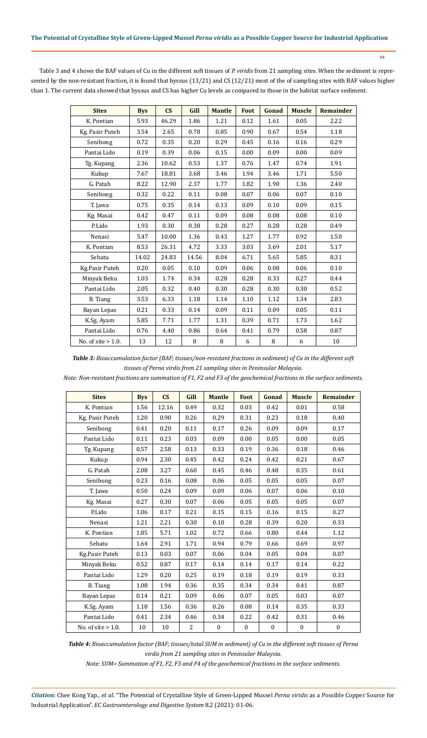Table 3 and 4 shows the BAF values of Cu in the different soft tissues of *P. viridis* from 21 sampling sites. When the sediment is represented by the non-resistant fraction, it is found that byssus (13/21) and CS (12/21) most of the of sampling sites with BAF values higher than 1. The current data showed that byssus and CS has higher Cu levels as compared to those in the habitat surface sediment.

04

| <b>Sites</b>          | <b>Bys</b> | $\mathbf{C}\mathbf{S}$ | Gill  | <b>Mantle</b> | Foot | Gonad | <b>Muscle</b> | Remainder |
|-----------------------|------------|------------------------|-------|---------------|------|-------|---------------|-----------|
| K. Pontian            | 5.93       | 46.29                  | 1.86  | 1.21          | 0.12 | 1.61  | 0.05          | 2.22      |
| Kg. Pasir Puteh       | 3.54       | 2.65                   | 0.78  | 0.85          | 0.90 | 0.67  | 0.54          | 1.18      |
| Senibong              | 0.72       | 0.35                   | 0.20  | 0.29          | 0.45 | 0.16  | 0.16          | 0.29      |
| Pantai Lido           | 0.19       | 0.39                   | 0.06  | 0.15          | 0.00 | 0.09  | 0.00          | 0.09      |
| Tg. Kupang            | 2.36       | 10.62                  | 0.53  | 1.37          | 0.76 | 1.47  | 0.74          | 1.91      |
| Kukup                 | 7.67       | 18.81                  | 3.68  | 3.46          | 1.94 | 3.46  | 1.71          | 5.50      |
| G. Patah              | 8.22       | 12.90                  | 2.37  | 1.77          | 1.82 | 1.90  | 1.36          | 2.40      |
| Senibong              | 0.32       | 0.22                   | 0.11  | 0.08          | 0.07 | 0.06  | 0.07          | 0.10      |
| T. Jawa               | 0.75       | 0.35                   | 0.14  | 0.13          | 0.09 | 0.10  | 0.09          | 0.15      |
| Kg. Masai             | 0.42       | 0.47                   | 0.11  | 0.09          | 0.08 | 0.08  | 0.08          | 0.10      |
| P.Lido                | 1.93       | 0.30                   | 0.38  | 0.28          | 0.27 | 0.28  | 0.28          | 0.49      |
| Nenasi                | 5.47       | 10.00                  | 1.36  | 0.43          | 1.27 | 1.77  | 0.92          | 1.50      |
| K. Pontian            | 8.53       | 26.31                  | 4.72  | 3.33          | 3.03 | 3.69  | 2.01          | 5.17      |
| Sebatu                | 14.02      | 24.83                  | 14.56 | 8.04          | 6.71 | 5.65  | 5.85          | 8.31      |
| Kg.Pasir Puteh        | 0.20       | 0.05                   | 0.10  | 0.09          | 0.06 | 0.08  | 0.06          | 0.10      |
| Minyak Beku           | 1.03       | 1.74                   | 0.34  | 0.28          | 0.28 | 0.33  | 0.27          | 0.44      |
| Pantai Lido           | 2.05       | 0.32                   | 0.40  | 0.30          | 0.28 | 0.30  | 0.30          | 0.52      |
| <b>B.</b> Tiang       | 3.53       | 6.33                   | 1.18  | 1.14          | 1.10 | 1.12  | 1.34          | 2.83      |
| Bayan Lepas           | 0.21       | 0.33                   | 0.14  | 0.09          | 0.11 | 0.09  | 0.05          | 0.11      |
| K.Sg. Ayam            | 5.85       | 7.71                   | 1.77  | 1.31          | 0.39 | 0.71  | 1.73          | 1.62      |
| Pantai Lido           | 0.76       | 4.40                   | 0.86  | 0.64          | 0.41 | 0.79  | 0.58          | 0.87      |
| No. of site $> 1.0$ . | 13         | 12                     | 8     | 8             | 6    | 8     | 6             | $10\,$    |

*Table 3: Bioaccumulation factor (BAF; tissues/non-resistant fractions in sediment) of Cu in the different soft tissues of Perna virdis from 21 sampling sites in Peninsular Malaysia.*

*Note: Non-resistant fractions are summation of F1, F2 and F3 of the geochemical fractions in the surface sediments.*

| <b>Sites</b>          | <b>Bys</b> | $\mathbf{C}\mathbf{S}$ | Gill           | <b>Mantle</b>    | Foot             | Gonad            | <b>Muscle</b>    | Remainder        |
|-----------------------|------------|------------------------|----------------|------------------|------------------|------------------|------------------|------------------|
| K. Pontian            | 1.56       | 12.16                  | 0.49           | 0.32             | 0.03             | 0.42             | 0.01             | 0.58             |
| Kg. Pasir Puteh       | 1.20       | 0.90                   | 0.26           | 0.29             | 0.31             | 0.23             | 0.18             | 0.40             |
| Senibong              | 0.41       | 0.20                   | 0.11           | 0.17             | 0.26             | 0.09             | 0.09             | 0.17             |
| Pantai Lido           | 0.11       | 0.23                   | 0.03           | 0.09             | 0.00             | 0.05             | 0.00             | 0.05             |
| Tg. Kupang            | 0.57       | 2.58                   | 0.13           | 0.33             | 0.19             | 0.36             | 0.18             | 0.46             |
| Kukup                 | 0.94       | 2.30                   | 0.45           | 0.42             | 0.24             | 0.42             | 0.21             | 0.67             |
| G. Patah              | 2.08       | 3.27                   | 0.60           | 0.45             | 0.46             | 0.48             | 0.35             | 0.61             |
| Senibong              | 0.23       | 0.16                   | 0.08           | 0.06             | 0.05             | 0.05             | 0.05             | 0.07             |
| T. Jawa               | 0.50       | 0.24                   | 0.09           | 0.09             | 0.06             | 0.07             | 0.06             | 0.10             |
| Kg. Masai             | 0.27       | 0.30                   | 0.07           | 0.06             | 0.05             | 0.05             | 0.05             | 0.07             |
| P.Lido                | 1.06       | 0.17                   | 0.21           | 0.15             | 0.15             | 0.16             | 0.15             | 0.27             |
| Nenasi                | 1.21       | 2.21                   | 0.30           | 0.10             | 0.28             | 0.39             | 0.20             | 0.33             |
| K. Pontian            | 1.85       | 5.71                   | 1.02           | 0.72             | 0.66             | 0.80             | 0.44             | 1.12             |
| Sebatu                | 1.64       | 2.91                   | 1.71           | 0.94             | 0.79             | 0.66             | 0.69             | 0.97             |
| Kg.Pasir Puteh        | 0.13       | 0.03                   | 0.07           | 0.06             | 0.04             | 0.05             | 0.04             | 0.07             |
| Minyak Beku           | 0.52       | 0.87                   | 0.17           | 0.14             | 0.14             | 0.17             | 0.14             | 0.22             |
| Pantai Lido           | 1.29       | 0.20                   | 0.25           | 0.19             | 0.18             | 0.19             | 0.19             | 0.33             |
| <b>B.</b> Tiang       | 1.08       | 1.94                   | 0.36           | 0.35             | 0.34             | 0.34             | 0.41             | 0.87             |
| Bayan Lepas           | 0.14       | 0.21                   | 0.09           | 0.06             | 0.07             | 0.05             | 0.03             | 0.07             |
| K.Sg. Ayam            | 1.18       | 1.56                   | 0.36           | 0.26             | 0.08             | 0.14             | 0.35             | 0.33             |
| Pantai Lido           | 0.41       | 2.34                   | 0.46           | 0.34             | 0.22             | 0.42             | 0.31             | 0.46             |
| No. of site $> 1.0$ . | 10         | 10                     | $\overline{2}$ | $\boldsymbol{0}$ | $\boldsymbol{0}$ | $\boldsymbol{0}$ | $\boldsymbol{0}$ | $\boldsymbol{0}$ |

*Table 4: Bioaccumulation factor (BAF; tissues/total SUM in sediment) of Cu in the different soft tissues of Perna virdis from 21 sampling sites in Peninsular Malaysia.*

*Note: SUM= Summation of F1, F2, F3 and F4 of the geochemical fractions in the surface sediments.*

*Citation:* Chee Kong Yap., *et al*. "The Potential of Crystalline Style of Green-Lipped Mussel *Perna viridis* as a Possible Copper Source for Industrial Application". *EC Gastroenterology and Digestive System* 8.2 (2021): 01-06.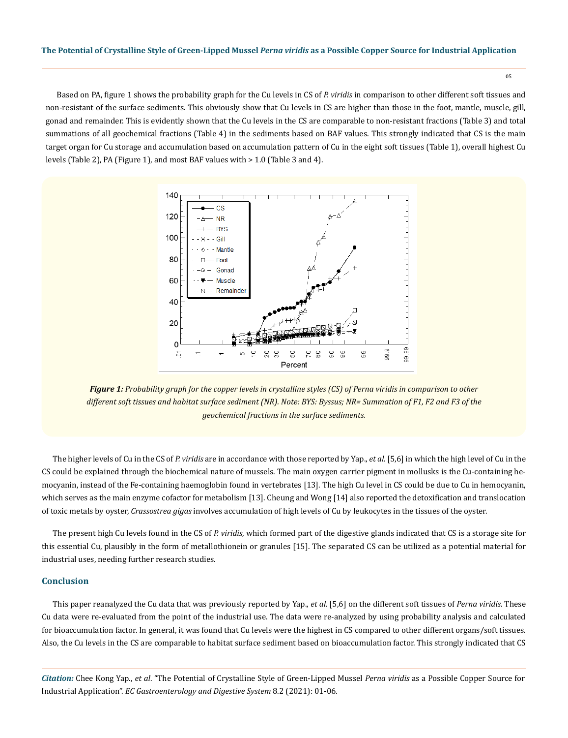05

Based on PA, figure 1 shows the probability graph for the Cu levels in CS of *P. viridis* in comparison to other different soft tissues and non-resistant of the surface sediments. This obviously show that Cu levels in CS are higher than those in the foot, mantle, muscle, gill, gonad and remainder. This is evidently shown that the Cu levels in the CS are comparable to non-resistant fractions (Table 3) and total summations of all geochemical fractions (Table 4) in the sediments based on BAF values. This strongly indicated that CS is the main target organ for Cu storage and accumulation based on accumulation pattern of Cu in the eight soft tissues (Table 1), overall highest Cu levels (Table 2), PA (Figure 1), and most BAF values with > 1.0 (Table 3 and 4).



*Figure 1: Probability graph for the copper levels in crystalline styles (CS) of Perna viridis in comparison to other different soft tissues and habitat surface sediment (NR). Note: BYS: Byssus; NR= Summation of F1, F2 and F3 of the geochemical fractions in the surface sediments.*

The higher levels of Cu in the CS of *P. viridis* are in accordance with those reported by Yap., *et al*. [5,6] in which the high level of Cu in the CS could be explained through the biochemical nature of mussels. The main oxygen carrier pigment in mollusks is the Cu-containing hemocyanin, instead of the Fe-containing haemoglobin found in vertebrates [13]. The high Cu level in CS could be due to Cu in hemocyanin, which serves as the main enzyme cofactor for metabolism [13]. Cheung and Wong [14] also reported the detoxification and translocation of toxic metals by oyster, *Crassostrea gigas* involves accumulation of high levels of Cu by leukocytes in the tissues of the oyster.

The present high Cu levels found in the CS of *P. viridis*, which formed part of the digestive glands indicated that CS is a storage site for this essential Cu, plausibly in the form of metallothionein or granules [15]. The separated CS can be utilized as a potential material for industrial uses, needing further research studies.

#### **Conclusion**

This paper reanalyzed the Cu data that was previously reported by Yap., *et al*. [5,6] on the different soft tissues of *Perna viridis*. These Cu data were re-evaluated from the point of the industrial use. The data were re-analyzed by using probability analysis and calculated for bioaccumulation factor. In general, it was found that Cu levels were the highest in CS compared to other different organs/soft tissues. Also, the Cu levels in the CS are comparable to habitat surface sediment based on bioaccumulation factor. This strongly indicated that CS

*Citation:* Chee Kong Yap., *et al*. "The Potential of Crystalline Style of Green-Lipped Mussel *Perna viridis* as a Possible Copper Source for Industrial Application". *EC Gastroenterology and Digestive System* 8.2 (2021): 01-06.